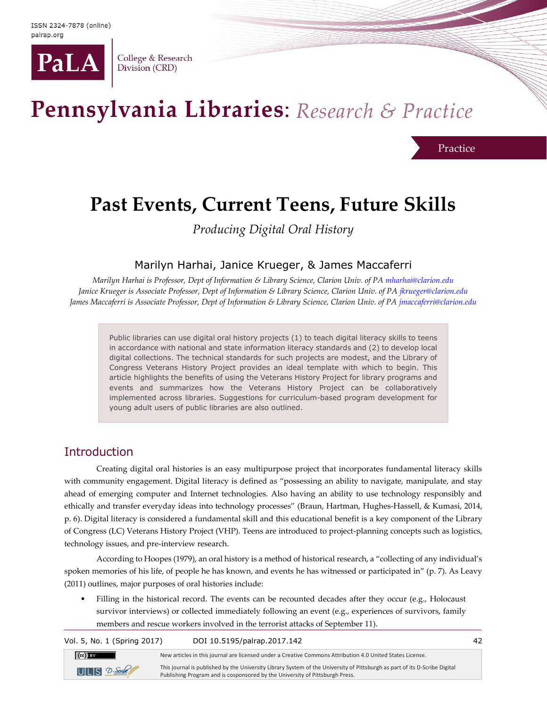

College & Research Division (CRD)

# Pennsylvania Libraries: Research & Practice

Practice

## **Past Events, Current Teens, Future Skills**

*Producing Digital Oral History*

#### Marilyn Harhai, Janice Krueger, & James Maccaferri

*Marilyn Harhai is Professor, Dept of Information & Library Science, Clarion Univ. of P[A mharhai@clarion.edu](mailto:mharhai@clarion.edu) Janice Krueger is Associate Professor, Dept of Information & Library Science, Clarion Univ. of P[A jkrueger@clarion.edu](mailto:jkrueger@clarion.edu) James Maccaferri is Associate Professor, Dept of Information & Library Science, Clarion Univ. of PA [jmaccaferri@clarion.edu](mailto:jmaccaferri@clarion.edu)*

Public libraries can use digital oral history projects (1) to teach digital literacy skills to teens in accordance with national and state information literacy standards and (2) to develop local digital collections. The technical standards for such projects are modest, and the Library of Congress Veterans History Project provides an ideal template with which to begin. This article highlights the benefits of using the Veterans History Project for library programs and events and summarizes how the Veterans History Project can be collaboratively implemented across libraries. Suggestions for curriculum-based program development for young adult users of public libraries are also outlined.

#### Introduction

Creating digital oral histories is an easy multipurpose project that incorporates fundamental literacy skills with community engagement. Digital literacy is defined as "possessing an ability to navigate, manipulate, and stay ahead of emerging computer and Internet technologies. Also having an ability to use technology responsibly and ethically and transfer everyday ideas into technology processes" (Braun, Hartman, Hughes-Hassell, & Kumasi, 2014, p. 6). Digital literacy is considered a fundamental skill and this educational benefit is a key component of the Library of Congress (LC) Veterans History Project (VHP). Teens are introduced to project-planning concepts such as logistics, technology issues, and pre-interview research.

According to Hoopes (1979), an oral history is a method of historical research, a "collecting of any individual's spoken memories of his life, of people he has known, and events he has witnessed or participated in" (p. 7). As Leavy (2011) outlines, major purposes of oral histories include:

Filling in the historical record. The events can be recounted decades after they occur (e.g., Holocaust survivor interviews) or collected immediately following an event (e.g., experiences of survivors, family members and rescue workers involved in the terrorist attacks of September 11).

Vol. 5, No. 1 (Spring 2017) DOI 10.5195/palrap.2017.142 42  $\left(\text{cc}\right)$  BY New articles in this journal are licensed under a Creative Commons Attribution 4.0 United States License. This journal is published by the University Library System of the University of Pittsburgh as part of its D-Scribe Digital  $ULES$  2-Sole Publishing Program and is cosponsored by the University of Pittsburgh Press.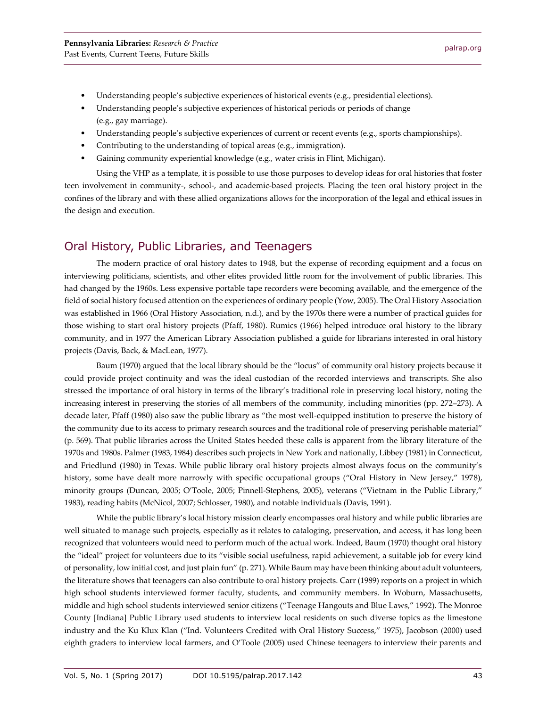- Understanding people's subjective experiences of historical events (e.g., presidential elections).
- Understanding people's subjective experiences of historical periods or periods of change (e.g., gay marriage).
- Understanding people's subjective experiences of current or recent events (e.g., sports championships).
- Contributing to the understanding of topical areas (e.g., immigration).
- Gaining community experiential knowledge (e.g., water crisis in Flint, Michigan).

Using the VHP as a template, it is possible to use those purposes to develop ideas for oral histories that foster teen involvement in community-, school-, and academic-based projects. Placing the teen oral history project in the confines of the library and with these allied organizations allows for the incorporation of the legal and ethical issues in the design and execution.

#### Oral History, Public Libraries, and Teenagers

The modern practice of oral history dates to 1948, but the expense of recording equipment and a focus on interviewing politicians, scientists, and other elites provided little room for the involvement of public libraries. This had changed by the 1960s. Less expensive portable tape recorders were becoming available, and the emergence of the field of social history focused attention on the experiences of ordinary people (Yow, 2005). The Oral History Association was established in 1966 (Oral History Association, n.d.), and by the 1970s there were a number of practical guides for those wishing to start oral history projects (Pfaff, 1980). Rumics (1966) helped introduce oral history to the library community, and in 1977 the American Library Association published a guide for librarians interested in oral history projects (Davis, Back, & MacLean, 1977).

Baum (1970) argued that the local library should be the "locus" of community oral history projects because it could provide project continuity and was the ideal custodian of the recorded interviews and transcripts. She also stressed the importance of oral history in terms of the library's traditional role in preserving local history, noting the increasing interest in preserving the stories of all members of the community, including minorities (pp. 272–273). A decade later, Pfaff (1980) also saw the public library as "the most well-equipped institution to preserve the history of the community due to its access to primary research sources and the traditional role of preserving perishable material" (p. 569). That public libraries across the United States heeded these calls is apparent from the library literature of the 1970s and 1980s. Palmer (1983, 1984) describes such projects in New York and nationally, Libbey (1981) in Connecticut, and Friedlund (1980) in Texas. While public library oral history projects almost always focus on the community's history, some have dealt more narrowly with specific occupational groups ("Oral History in New Jersey," 1978), minority groups (Duncan, 2005; O'Toole, 2005; Pinnell-Stephens, 2005), veterans ("Vietnam in the Public Library," 1983), reading habits (McNicol, 2007; Schlosser, 1980), and notable individuals (Davis, 1991).

While the public library's local history mission clearly encompasses oral history and while public libraries are well situated to manage such projects, especially as it relates to cataloging, preservation, and access, it has long been recognized that volunteers would need to perform much of the actual work. Indeed, Baum (1970) thought oral history the "ideal" project for volunteers due to its "visible social usefulness, rapid achievement, a suitable job for every kind of personality, low initial cost, and just plain fun" (p. 271). While Baum may have been thinking about adult volunteers, the literature shows that teenagers can also contribute to oral history projects. Carr (1989) reports on a project in which high school students interviewed former faculty, students, and community members. In Woburn, Massachusetts, middle and high school students interviewed senior citizens ("Teenage Hangouts and Blue Laws," 1992). The Monroe County [Indiana] Public Library used students to interview local residents on such diverse topics as the limestone industry and the Ku Klux Klan ("Ind. Volunteers Credited with Oral History Success," 1975), Jacobson (2000) used eighth graders to interview local farmers, and O'Toole (2005) used Chinese teenagers to interview their parents and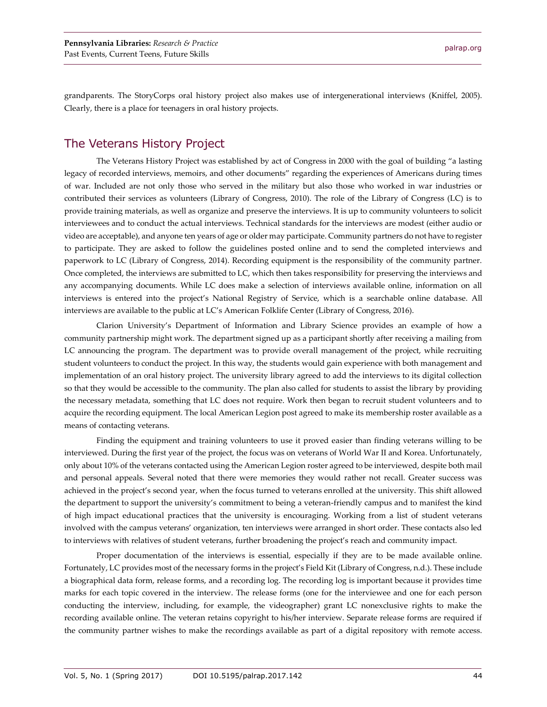grandparents. The StoryCorps oral history project also makes use of intergenerational interviews (Kniffel, 2005). Clearly, there is a place for teenagers in oral history projects.

#### The Veterans History Project

The Veterans History Project was established by act of Congress in 2000 with the goal of building "a lasting legacy of recorded interviews, memoirs, and other documents" regarding the experiences of Americans during times of war. Included are not only those who served in the military but also those who worked in war industries or contributed their services as volunteers (Library of Congress, 2010). The role of the Library of Congress (LC) is to provide training materials, as well as organize and preserve the interviews. It is up to community volunteers to solicit interviewees and to conduct the actual interviews. Technical standards for the interviews are modest (either audio or video are acceptable), and anyone ten years of age or older may participate. Community partners do not have to register to participate. They are asked to follow the guidelines posted online and to send the completed interviews and paperwork to LC (Library of Congress, 2014). Recording equipment is the responsibility of the community partner. Once completed, the interviews are submitted to LC, which then takes responsibility for preserving the interviews and any accompanying documents. While LC does make a selection of interviews available online, information on all interviews is entered into the project's National Registry of Service, which is a searchable online database. All interviews are available to the public at LC's American Folklife Center (Library of Congress, 2016).

Clarion University's Department of Information and Library Science provides an example of how a community partnership might work. The department signed up as a participant shortly after receiving a mailing from LC announcing the program. The department was to provide overall management of the project, while recruiting student volunteers to conduct the project. In this way, the students would gain experience with both management and implementation of an oral history project. The university library agreed to add the interviews to its digital collection so that they would be accessible to the community. The plan also called for students to assist the library by providing the necessary metadata, something that LC does not require. Work then began to recruit student volunteers and to acquire the recording equipment. The local American Legion post agreed to make its membership roster available as a means of contacting veterans.

Finding the equipment and training volunteers to use it proved easier than finding veterans willing to be interviewed. During the first year of the project, the focus was on veterans of World War II and Korea. Unfortunately, only about 10% of the veterans contacted using the American Legion roster agreed to be interviewed, despite both mail and personal appeals. Several noted that there were memories they would rather not recall. Greater success was achieved in the project's second year, when the focus turned to veterans enrolled at the university. This shift allowed the department to support the university's commitment to being a veteran-friendly campus and to manifest the kind of high impact educational practices that the university is encouraging. Working from a list of student veterans involved with the campus veterans' organization, ten interviews were arranged in short order. These contacts also led to interviews with relatives of student veterans, further broadening the project's reach and community impact.

Proper documentation of the interviews is essential, especially if they are to be made available online. Fortunately, LC provides most of the necessary forms in the project's Field Kit (Library of Congress, n.d.). These include a biographical data form, release forms, and a recording log. The recording log is important because it provides time marks for each topic covered in the interview. The release forms (one for the interviewee and one for each person conducting the interview, including, for example, the videographer) grant LC nonexclusive rights to make the recording available online. The veteran retains copyright to his/her interview. Separate release forms are required if the community partner wishes to make the recordings available as part of a digital repository with remote access.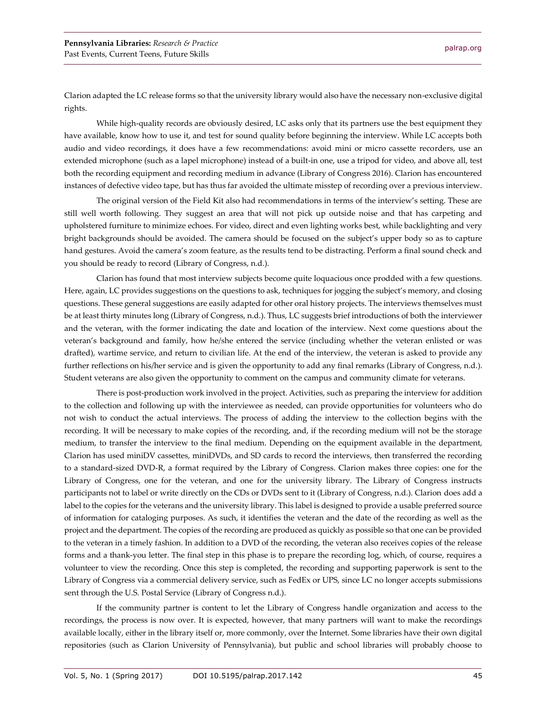Clarion adapted the LC release forms so that the university library would also have the necessary non-exclusive digital rights.

While high-quality records are obviously desired, LC asks only that its partners use the best equipment they have available, know how to use it, and test for sound quality before beginning the interview. While LC accepts both audio and video recordings, it does have a few recommendations: avoid mini or micro cassette recorders, use an extended microphone (such as a lapel microphone) instead of a built-in one, use a tripod for video, and above all, test both the recording equipment and recording medium in advance (Library of Congress 2016). Clarion has encountered instances of defective video tape, but has thus far avoided the ultimate misstep of recording over a previous interview.

The original version of the Field Kit also had recommendations in terms of the interview's setting. These are still well worth following. They suggest an area that will not pick up outside noise and that has carpeting and upholstered furniture to minimize echoes. For video, direct and even lighting works best, while backlighting and very bright backgrounds should be avoided. The camera should be focused on the subject's upper body so as to capture hand gestures. Avoid the camera's zoom feature, as the results tend to be distracting. Perform a final sound check and you should be ready to record (Library of Congress, n.d.).

Clarion has found that most interview subjects become quite loquacious once prodded with a few questions. Here, again, LC provides suggestions on the questions to ask, techniques for jogging the subject's memory, and closing questions. These general suggestions are easily adapted for other oral history projects. The interviews themselves must be at least thirty minutes long (Library of Congress, n.d.). Thus, LC suggests brief introductions of both the interviewer and the veteran, with the former indicating the date and location of the interview. Next come questions about the veteran's background and family, how he/she entered the service (including whether the veteran enlisted or was drafted), wartime service, and return to civilian life. At the end of the interview, the veteran is asked to provide any further reflections on his/her service and is given the opportunity to add any final remarks (Library of Congress, n.d.). Student veterans are also given the opportunity to comment on the campus and community climate for veterans.

There is post-production work involved in the project. Activities, such as preparing the interview for addition to the collection and following up with the interviewee as needed, can provide opportunities for volunteers who do not wish to conduct the actual interviews. The process of adding the interview to the collection begins with the recording. It will be necessary to make copies of the recording, and, if the recording medium will not be the storage medium, to transfer the interview to the final medium. Depending on the equipment available in the department, Clarion has used miniDV cassettes, miniDVDs, and SD cards to record the interviews, then transferred the recording to a standard-sized DVD-R, a format required by the Library of Congress. Clarion makes three copies: one for the Library of Congress, one for the veteran, and one for the university library. The Library of Congress instructs participants not to label or write directly on the CDs or DVDs sent to it (Library of Congress, n.d.). Clarion does add a label to the copies for the veterans and the university library. This label is designed to provide a usable preferred source of information for cataloging purposes. As such, it identifies the veteran and the date of the recording as well as the project and the department. The copies of the recording are produced as quickly as possible so that one can be provided to the veteran in a timely fashion. In addition to a DVD of the recording, the veteran also receives copies of the release forms and a thank-you letter. The final step in this phase is to prepare the recording log, which, of course, requires a volunteer to view the recording. Once this step is completed, the recording and supporting paperwork is sent to the Library of Congress via a commercial delivery service, such as FedEx or UPS, since LC no longer accepts submissions sent through the U.S. Postal Service (Library of Congress n.d.).

If the community partner is content to let the Library of Congress handle organization and access to the recordings, the process is now over. It is expected, however, that many partners will want to make the recordings available locally, either in the library itself or, more commonly, over the Internet. Some libraries have their own digital repositories (such as Clarion University of Pennsylvania), but public and school libraries will probably choose to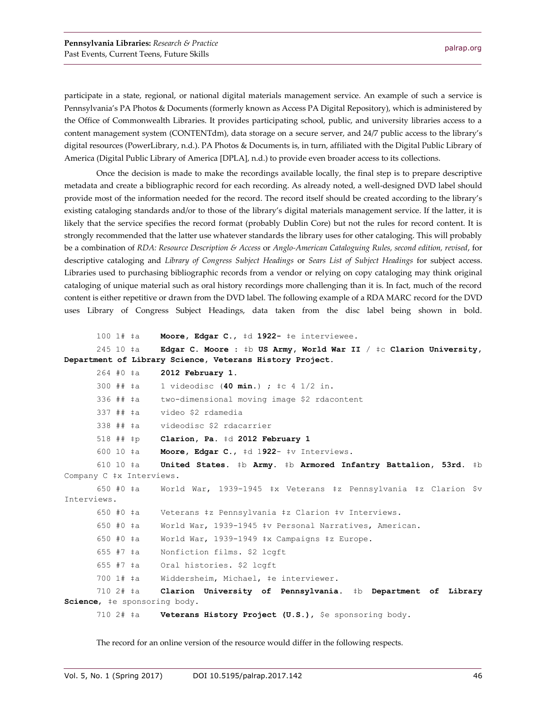participate in a state, regional, or national digital materials management service. An example of such a service is Pennsylvania's PA Photos & Documents (formerly known as Access PA Digital Repository), which is administered by the Office of Commonwealth Libraries. It provides participating school, public, and university libraries access to a content management system (CONTENTdm), data storage on a secure server, and 24/7 public access to the library's digital resources (PowerLibrary, n.d.). PA Photos & Documents is, in turn, affiliated with the Digital Public Library of America (Digital Public Library of America [DPLA], n.d.) to provide even broader access to its collections.

Once the decision is made to make the recordings available locally, the final step is to prepare descriptive metadata and create a bibliographic record for each recording. As already noted, a well-designed DVD label should provide most of the information needed for the record. The record itself should be created according to the library's existing cataloging standards and/or to those of the library's digital materials management service. If the latter, it is likely that the service specifies the record format (probably Dublin Core) but not the rules for record content. It is strongly recommended that the latter use whatever standards the library uses for other cataloging. This will probably be a combination of *RDA: Resource Description & Access* or *Anglo-American Cataloguing Rules, second edition, revised*, for descriptive cataloging and *Library of Congress Subject Headings* or *Sears List of Subject Headings* for subject access. Libraries used to purchasing bibliographic records from a vendor or relying on copy cataloging may think original cataloging of unique material such as oral history recordings more challenging than it is. In fact, much of the record content is either repetitive or drawn from the DVD label. The following example of a RDA MARC record for the DVD uses Library of Congress Subject Headings, data taken from the disc label being shown in bold.

```
100 1# ‡a Moore, Edgar C., ‡d 1922- ‡e interviewee.
      245 10 ‡a Edgar C. Moore : ‡b US Army, World War II / ‡c Clarion University, 
Department of Library Science, Veterans History Project.
      264 #0 ‡a 2012 February 1.
      300 ## ‡a 1 videodisc (40 min.) ; ‡c 4 1/2 in.
      336 ## ‡a two-dimensional moving image $2 rdacontent
      337 ## ‡a video $2 rdamedia
      338 ## ‡a videodisc $2 rdacarrier
      518 ## ‡p Clarion, Pa. ‡d 2012 February 1
      600 10 ‡a Moore, Edgar C., ‡d 1922- ‡v Interviews.
      610 10 ‡a United States. ‡b Army. ‡b Armored Infantry Battalion, 53rd. ‡b 
Company C ‡x Interviews.
      650 #0 ‡a World War, 1939-1945 ‡x Veterans ‡z Pennsylvania ‡z Clarion $v 
Interviews.
      650 #0 ‡a Veterans ‡z Pennsylvania ‡z Clarion ‡v Interviews.
      650 #0 ‡a World War, 1939-1945 ‡v Personal Narratives, American.
      650 #0 ‡a World War, 1939-1949 ‡x Campaigns ‡z Europe.
      655 #7 ‡a Nonfiction films. $2 lcgft
      655 #7 ‡a Oral histories. $2 lcgft
      700 1# ‡a Widdersheim, Michael, ‡e interviewer.
      710 2# ‡a Clarion University of Pennsylvania. ‡b Department of Library 
Science, ‡e sponsoring body.
      710 2# ‡a Veterans History Project (U.S.), $e sponsoring body.
```
The record for an online version of the resource would differ in the following respects.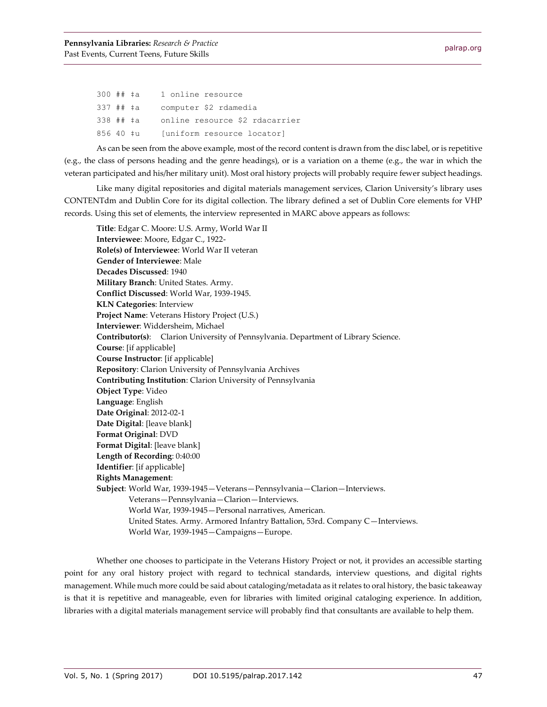| 300 ## ‡a |  | 1 online resource              |
|-----------|--|--------------------------------|
| 337 ## ‡a |  | computer \$2 rdamedia          |
| 338 ## ‡a |  | online resource \$2 rdacarrier |
| 856 40 ‡u |  | [uniform resource locator]     |

As can be seen from the above example, most of the record content is drawn from the disc label, or is repetitive (e.g., the class of persons heading and the genre headings), or is a variation on a theme (e.g., the war in which the veteran participated and his/her military unit). Most oral history projects will probably require fewer subject headings.

Like many digital repositories and digital materials management services, Clarion University's library uses CONTENTdm and Dublin Core for its digital collection. The library defined a set of Dublin Core elements for VHP records. Using this set of elements, the interview represented in MARC above appears as follows:

**Title**: Edgar C. Moore: U.S. Army, World War II **Interviewee**: Moore, Edgar C., 1922- **Role(s) of Interviewee**: World War II veteran **Gender of Interviewee**: Male **Decades Discussed**: 1940 **Military Branch**: United States. Army. **Conflict Discussed**: World War, 1939-1945. **KLN Categories**: Interview **Project Name**: Veterans History Project (U.S.) **Interviewer**: Widdersheim, Michael **Contributor(s)**: Clarion University of Pennsylvania. Department of Library Science. **Course**: [if applicable] **Course Instructor**: [if applicable] **Repository**: Clarion University of Pennsylvania Archives **Contributing Institution**: Clarion University of Pennsylvania **Object Type**: Video **Language**: English **Date Original**: 2012-02-1 **Date Digital**: [leave blank] **Format Original**: DVD **Format Digital**: [leave blank] **Length of Recording**: 0:40:00 **Identifier**: [if applicable] **Rights Management**: **Subject**: World War, 1939-1945—Veterans—Pennsylvania—Clarion—Interviews. Veterans—Pennsylvania—Clarion—Interviews. World War, 1939-1945—Personal narratives, American. United States. Army. Armored Infantry Battalion, 53rd. Company C—Interviews. World War, 1939-1945—Campaigns—Europe.

Whether one chooses to participate in the Veterans History Project or not, it provides an accessible starting point for any oral history project with regard to technical standards, interview questions, and digital rights management. While much more could be said about cataloging/metadata as it relates to oral history, the basic takeaway is that it is repetitive and manageable, even for libraries with limited original cataloging experience. In addition, libraries with a digital materials management service will probably find that consultants are available to help them.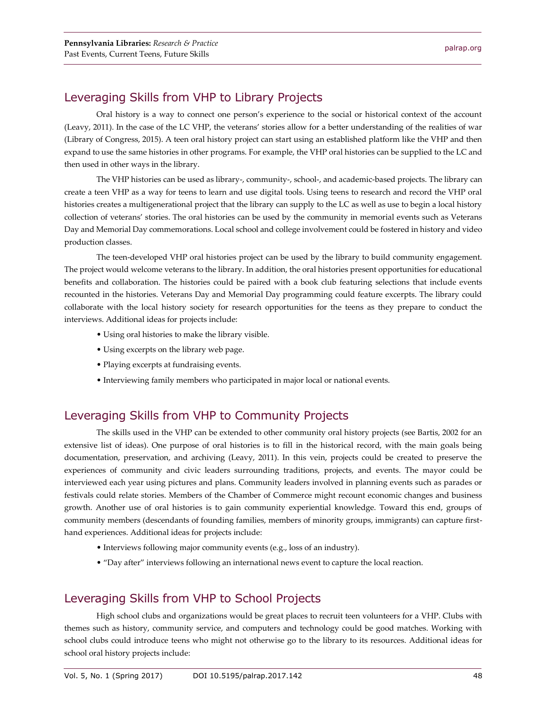#### Leveraging Skills from VHP to Library Projects

Oral history is a way to connect one person's experience to the social or historical context of the account (Leavy, 2011). In the case of the LC VHP, the veterans' stories allow for a better understanding of the realities of war (Library of Congress, 2015). A teen oral history project can start using an established platform like the VHP and then expand to use the same histories in other programs. For example, the VHP oral histories can be supplied to the LC and then used in other ways in the library.

The VHP histories can be used as library-, community-, school-, and academic-based projects. The library can create a teen VHP as a way for teens to learn and use digital tools. Using teens to research and record the VHP oral histories creates a multigenerational project that the library can supply to the LC as well as use to begin a local history collection of veterans' stories. The oral histories can be used by the community in memorial events such as Veterans Day and Memorial Day commemorations. Local school and college involvement could be fostered in history and video production classes.

The teen-developed VHP oral histories project can be used by the library to build community engagement. The project would welcome veterans to the library. In addition, the oral histories present opportunities for educational benefits and collaboration. The histories could be paired with a book club featuring selections that include events recounted in the histories. Veterans Day and Memorial Day programming could feature excerpts. The library could collaborate with the local history society for research opportunities for the teens as they prepare to conduct the interviews. Additional ideas for projects include:

- Using oral histories to make the library visible.
- Using excerpts on the library web page.
- Playing excerpts at fundraising events.
- Interviewing family members who participated in major local or national events.

## Leveraging Skills from VHP to Community Projects

The skills used in the VHP can be extended to other community oral history projects (see Bartis, 2002 for an extensive list of ideas). One purpose of oral histories is to fill in the historical record, with the main goals being documentation, preservation, and archiving (Leavy, 2011). In this vein, projects could be created to preserve the experiences of community and civic leaders surrounding traditions, projects, and events. The mayor could be interviewed each year using pictures and plans. Community leaders involved in planning events such as parades or festivals could relate stories. Members of the Chamber of Commerce might recount economic changes and business growth. Another use of oral histories is to gain community experiential knowledge. Toward this end, groups of community members (descendants of founding families, members of minority groups, immigrants) can capture firsthand experiences. Additional ideas for projects include:

- Interviews following major community events (e.g., loss of an industry).
- "Day after" interviews following an international news event to capture the local reaction.

#### Leveraging Skills from VHP to School Projects

High school clubs and organizations would be great places to recruit teen volunteers for a VHP. Clubs with themes such as history, community service, and computers and technology could be good matches. Working with school clubs could introduce teens who might not otherwise go to the library to its resources. Additional ideas for school oral history projects include: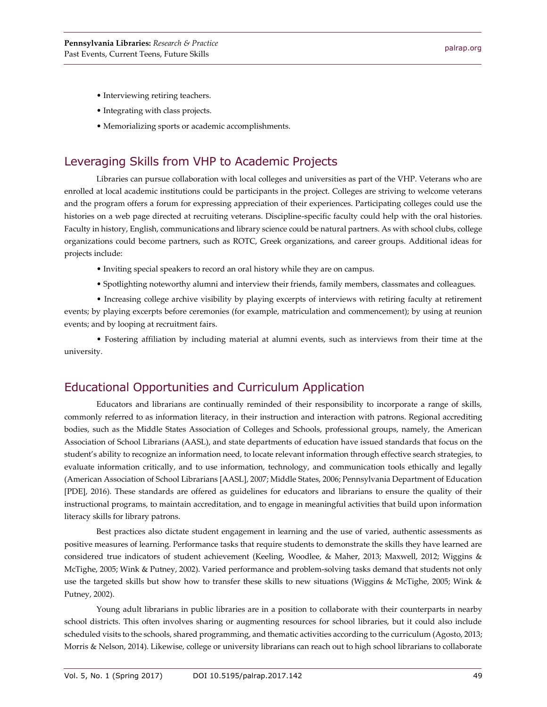- Interviewing retiring teachers.
- Integrating with class projects.
- Memorializing sports or academic accomplishments.

#### Leveraging Skills from VHP to Academic Projects

Libraries can pursue collaboration with local colleges and universities as part of the VHP. Veterans who are enrolled at local academic institutions could be participants in the project. Colleges are striving to welcome veterans and the program offers a forum for expressing appreciation of their experiences. Participating colleges could use the histories on a web page directed at recruiting veterans. Discipline-specific faculty could help with the oral histories. Faculty in history, English, communications and library science could be natural partners. As with school clubs, college organizations could become partners, such as ROTC, Greek organizations, and career groups. Additional ideas for projects include:

- Inviting special speakers to record an oral history while they are on campus.
- Spotlighting noteworthy alumni and interview their friends, family members, classmates and colleagues.

• Increasing college archive visibility by playing excerpts of interviews with retiring faculty at retirement events; by playing excerpts before ceremonies (for example, matriculation and commencement); by using at reunion events; and by looping at recruitment fairs.

• Fostering affiliation by including material at alumni events, such as interviews from their time at the university.

### Educational Opportunities and Curriculum Application

Educators and librarians are continually reminded of their responsibility to incorporate a range of skills, commonly referred to as information literacy, in their instruction and interaction with patrons. Regional accrediting bodies, such as the Middle States Association of Colleges and Schools, professional groups, namely, the American Association of School Librarians (AASL), and state departments of education have issued standards that focus on the student's ability to recognize an information need, to locate relevant information through effective search strategies, to evaluate information critically, and to use information, technology, and communication tools ethically and legally (American Association of School Librarians [AASL], 2007; Middle States, 2006; Pennsylvania Department of Education [PDE], 2016). These standards are offered as guidelines for educators and librarians to ensure the quality of their instructional programs, to maintain accreditation, and to engage in meaningful activities that build upon information literacy skills for library patrons.

Best practices also dictate student engagement in learning and the use of varied, authentic assessments as positive measures of learning. Performance tasks that require students to demonstrate the skills they have learned are considered true indicators of student achievement (Keeling, Woodlee, & Maher, 2013; Maxwell, 2012; Wiggins & McTighe, 2005; Wink & Putney, 2002). Varied performance and problem-solving tasks demand that students not only use the targeted skills but show how to transfer these skills to new situations (Wiggins & McTighe, 2005; Wink & Putney, 2002).

Young adult librarians in public libraries are in a position to collaborate with their counterparts in nearby school districts. This often involves sharing or augmenting resources for school libraries, but it could also include scheduled visits to the schools, shared programming, and thematic activities according to the curriculum (Agosto, 2013; Morris & Nelson, 2014). Likewise, college or university librarians can reach out to high school librarians to collaborate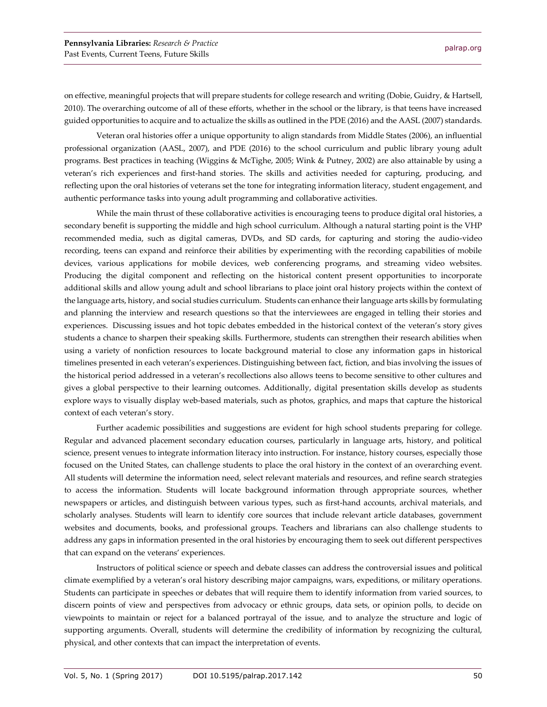on effective, meaningful projects that will prepare students for college research and writing (Dobie, Guidry, & Hartsell, 2010). The overarching outcome of all of these efforts, whether in the school or the library, is that teens have increased guided opportunities to acquire and to actualize the skills as outlined in the PDE (2016) and the AASL (2007) standards.

Veteran oral histories offer a unique opportunity to align standards from Middle States (2006), an influential professional organization (AASL, 2007), and PDE (2016) to the school curriculum and public library young adult programs. Best practices in teaching (Wiggins & McTighe, 2005; Wink & Putney, 2002) are also attainable by using a veteran's rich experiences and first-hand stories. The skills and activities needed for capturing, producing, and reflecting upon the oral histories of veterans set the tone for integrating information literacy, student engagement, and authentic performance tasks into young adult programming and collaborative activities.

While the main thrust of these collaborative activities is encouraging teens to produce digital oral histories, a secondary benefit is supporting the middle and high school curriculum. Although a natural starting point is the VHP recommended media, such as digital cameras, DVDs, and SD cards, for capturing and storing the audio-video recording, teens can expand and reinforce their abilities by experimenting with the recording capabilities of mobile devices, various applications for mobile devices, web conferencing programs, and streaming video websites. Producing the digital component and reflecting on the historical content present opportunities to incorporate additional skills and allow young adult and school librarians to place joint oral history projects within the context of the language arts, history, and social studies curriculum. Students can enhance their language arts skills by formulating and planning the interview and research questions so that the interviewees are engaged in telling their stories and experiences. Discussing issues and hot topic debates embedded in the historical context of the veteran's story gives students a chance to sharpen their speaking skills. Furthermore, students can strengthen their research abilities when using a variety of nonfiction resources to locate background material to close any information gaps in historical timelines presented in each veteran's experiences. Distinguishing between fact, fiction, and bias involving the issues of the historical period addressed in a veteran's recollections also allows teens to become sensitive to other cultures and gives a global perspective to their learning outcomes. Additionally, digital presentation skills develop as students explore ways to visually display web-based materials, such as photos, graphics, and maps that capture the historical context of each veteran's story.

Further academic possibilities and suggestions are evident for high school students preparing for college. Regular and advanced placement secondary education courses, particularly in language arts, history, and political science, present venues to integrate information literacy into instruction. For instance, history courses, especially those focused on the United States, can challenge students to place the oral history in the context of an overarching event. All students will determine the information need, select relevant materials and resources, and refine search strategies to access the information. Students will locate background information through appropriate sources, whether newspapers or articles, and distinguish between various types, such as first-hand accounts, archival materials, and scholarly analyses. Students will learn to identify core sources that include relevant article databases, government websites and documents, books, and professional groups. Teachers and librarians can also challenge students to address any gaps in information presented in the oral histories by encouraging them to seek out different perspectives that can expand on the veterans' experiences.

Instructors of political science or speech and debate classes can address the controversial issues and political climate exemplified by a veteran's oral history describing major campaigns, wars, expeditions, or military operations. Students can participate in speeches or debates that will require them to identify information from varied sources, to discern points of view and perspectives from advocacy or ethnic groups, data sets, or opinion polls, to decide on viewpoints to maintain or reject for a balanced portrayal of the issue, and to analyze the structure and logic of supporting arguments. Overall, students will determine the credibility of information by recognizing the cultural, physical, and other contexts that can impact the interpretation of events.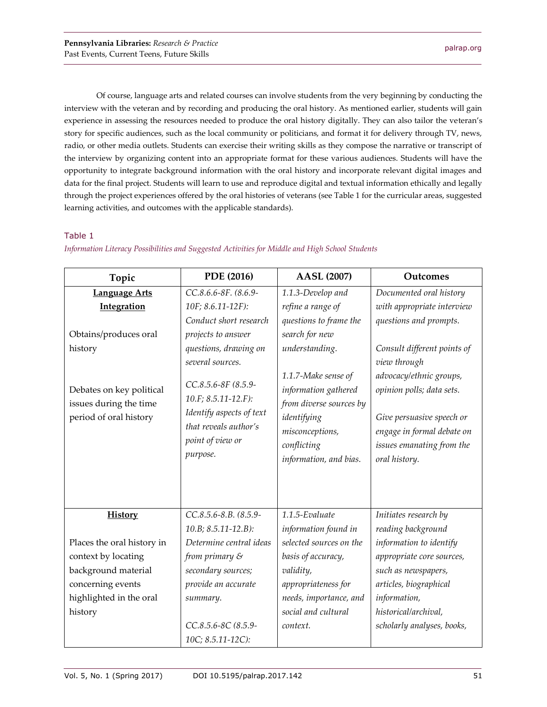Of course, language arts and related courses can involve students from the very beginning by conducting the interview with the veteran and by recording and producing the oral history. As mentioned earlier, students will gain experience in assessing the resources needed to produce the oral history digitally. They can also tailor the veteran's story for specific audiences, such as the local community or politicians, and format it for delivery through TV, news, radio, or other media outlets. Students can exercise their writing skills as they compose the narrative or transcript of the interview by organizing content into an appropriate format for these various audiences. Students will have the opportunity to integrate background information with the oral history and incorporate relevant digital images and data for the final project. Students will learn to use and reproduce digital and textual information ethically and legally through the project experiences offered by the oral histories of veterans (see Table 1 for the curricular areas, suggested learning activities, and outcomes with the applicable standards).

#### Table 1

| Topic                                                                        | PDE (2016)                                                                                                                      | <b>AASL (2007)</b>                                                                                                                                | Outcomes                                                                                                                                                      |
|------------------------------------------------------------------------------|---------------------------------------------------------------------------------------------------------------------------------|---------------------------------------------------------------------------------------------------------------------------------------------------|---------------------------------------------------------------------------------------------------------------------------------------------------------------|
| <b>Language Arts</b>                                                         | CC.8.6.6-8F. (8.6.9-                                                                                                            | 1.1.3-Develop and                                                                                                                                 | Documented oral history                                                                                                                                       |
| <b>Integration</b>                                                           | 10F; 8.6.11-12F):                                                                                                               | refine a range of                                                                                                                                 | with appropriate interview                                                                                                                                    |
|                                                                              | Conduct short research                                                                                                          | questions to frame the                                                                                                                            | questions and prompts.                                                                                                                                        |
| Obtains/produces oral                                                        | projects to answer                                                                                                              | search for new                                                                                                                                    |                                                                                                                                                               |
| history                                                                      | questions, drawing on                                                                                                           | understanding.                                                                                                                                    | Consult different points of                                                                                                                                   |
|                                                                              | several sources.                                                                                                                |                                                                                                                                                   | view through                                                                                                                                                  |
| Debates on key political<br>issues during the time<br>period of oral history | CC.8.5.6-8F (8.5.9-<br>10.F; 8.5.11-12.F):<br>Identify aspects of text<br>that reveals author's<br>point of view or<br>purpose. | 1.1.7-Make sense of<br>information gathered<br>from diverse sources by<br>identifying<br>misconceptions,<br>conflicting<br>information, and bias. | advocacy/ethnic groups,<br>opinion polls; data sets.<br>Give persuasive speech or<br>engage in formal debate on<br>issues emanating from the<br>oral history. |
| <b>History</b>                                                               | CC.8.5.6-8.B. (8.5.9-                                                                                                           | 1.1.5-Evaluate                                                                                                                                    | Initiates research by                                                                                                                                         |
|                                                                              | $10.B; 8.5.11-12.B$ :                                                                                                           | information found in                                                                                                                              | reading background                                                                                                                                            |
| Places the oral history in                                                   | Determine central ideas                                                                                                         | selected sources on the                                                                                                                           | information to identify                                                                                                                                       |
| context by locating                                                          | from primary $\mathcal S$                                                                                                       | basis of accuracy,                                                                                                                                | appropriate core sources,                                                                                                                                     |
| background material                                                          | secondary sources;                                                                                                              | validity,                                                                                                                                         | such as newspapers,                                                                                                                                           |
| concerning events                                                            | provide an accurate                                                                                                             | appropriateness for                                                                                                                               | articles, biographical                                                                                                                                        |
| highlighted in the oral                                                      | summary.                                                                                                                        | needs, importance, and                                                                                                                            | information,                                                                                                                                                  |
| history                                                                      |                                                                                                                                 | social and cultural                                                                                                                               | historical/archival,                                                                                                                                          |
|                                                                              | CC.8.5.6-8C (8.5.9-                                                                                                             | context.                                                                                                                                          | scholarly analyses, books,                                                                                                                                    |
|                                                                              | 10C; 8.5.11-12C):                                                                                                               |                                                                                                                                                   |                                                                                                                                                               |

#### *Information Literacy Possibilities and Suggested Activities for Middle and High School Students*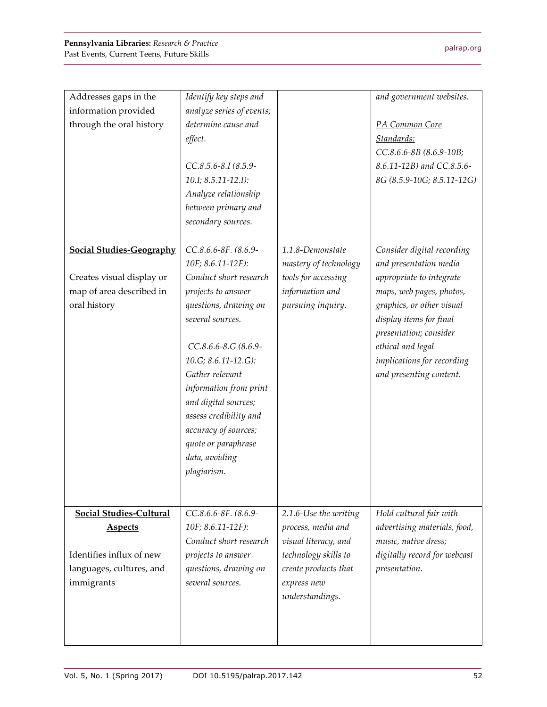| Addresses gaps in the           | Identify key steps and    |                       | and government websites.     |
|---------------------------------|---------------------------|-----------------------|------------------------------|
| information provided            | analyze series of events; |                       |                              |
| through the oral history        | determine cause and       |                       | PA Common Core               |
|                                 | effect.                   |                       | Standards:                   |
|                                 |                           |                       | CC.8.6.6-8B (8.6.9-10B;      |
|                                 | CC.8.5.6-8.I (8.5.9-      |                       | 8.6.11-12B) and CC.8.5.6-    |
|                                 | 10.I; 8.5.11-12.I):       |                       | 8G (8.5.9-10G; 8.5.11-12G)   |
|                                 | Analyze relationship      |                       |                              |
|                                 | between primary and       |                       |                              |
|                                 | secondary sources.        |                       |                              |
|                                 |                           |                       |                              |
| <b>Social Studies-Geography</b> | CC.8.6.6-8F. (8.6.9-      | 1.1.8-Demonstate      | Consider digital recording   |
|                                 | 10F; 8.6.11-12F):         | mastery of technology | and presentation media       |
| Creates visual display or       | Conduct short research    | tools for accessing   | appropriate to integrate     |
| map of area described in        | projects to answer        | information and       | maps, web pages, photos,     |
| oral history                    | questions, drawing on     | pursuing inquiry.     | graphics, or other visual    |
|                                 | several sources.          |                       | display items for final      |
|                                 |                           |                       | presentation; consider       |
|                                 | CC.8.6.6-8.G (8.6.9-      |                       | ethical and legal            |
|                                 | 10.G; 8.6.11-12.G):       |                       | implications for recording   |
|                                 | Gather relevant           |                       | and presenting content.      |
|                                 | information from print    |                       |                              |
|                                 | and digital sources;      |                       |                              |
|                                 | assess credibility and    |                       |                              |
|                                 | accuracy of sources;      |                       |                              |
|                                 | quote or paraphrase       |                       |                              |
|                                 | data, avoiding            |                       |                              |
|                                 | plagiarism.               |                       |                              |
|                                 |                           |                       |                              |
|                                 |                           |                       |                              |
| <b>Social Studies-Cultural</b>  | CC.8.6.6-8F. (8.6.9-      | 2.1.6-Use the writing | Hold cultural fair with      |
| <b>Aspects</b>                  | 10F; 8.6.11-12F):         | process, media and    | advertising materials, food, |
|                                 | Conduct short research    | visual literacy, and  | music, native dress;         |
| Identifies influx of new        | projects to answer        | technology skills to  | digitally record for webcast |
| languages, cultures, and        | questions, drawing on     | create products that  | presentation.                |
| immigrants                      | several sources.          | express new           |                              |
|                                 |                           | understandings.       |                              |
|                                 |                           |                       |                              |
|                                 |                           |                       |                              |
|                                 |                           |                       |                              |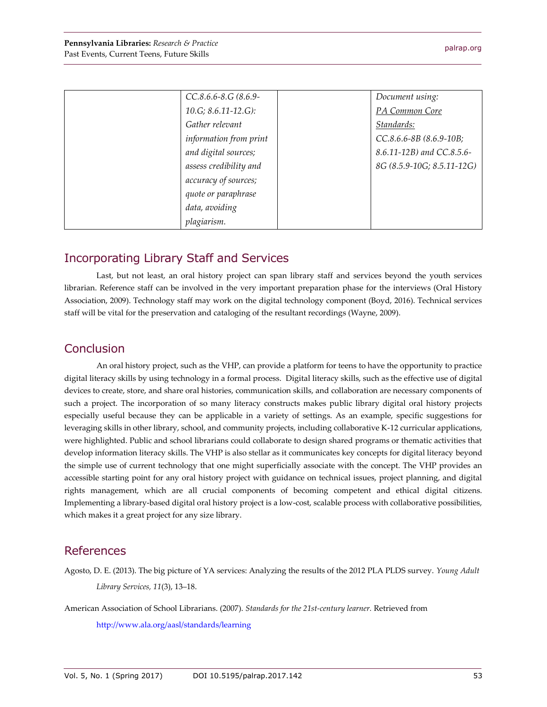| CC.8.6.6-8.G (8.6.9-      | Document using:            |
|---------------------------|----------------------------|
| $10.G$ ; $8.6.11-12.G$ ): | PA Common Core             |
| Gather relevant           | Standards:                 |
| information from print    | CC.8.6.6-8B (8.6.9-10B;    |
| and digital sources;      | 8.6.11-12B) and CC.8.5.6-  |
| assess credibility and    | 8G (8.5.9-10G; 8.5.11-12G) |
| accuracy of sources;      |                            |
| quote or paraphrase       |                            |
| data, avoiding            |                            |
| plagiarism.               |                            |

#### Incorporating Library Staff and Services

Last, but not least, an oral history project can span library staff and services beyond the youth services librarian. Reference staff can be involved in the very important preparation phase for the interviews (Oral History Association, 2009). Technology staff may work on the digital technology component (Boyd, 2016). Technical services staff will be vital for the preservation and cataloging of the resultant recordings (Wayne, 2009).

#### **Conclusion**

An oral history project, such as the VHP, can provide a platform for teens to have the opportunity to practice digital literacy skills by using technology in a formal process. Digital literacy skills, such as the effective use of digital devices to create, store, and share oral histories, communication skills, and collaboration are necessary components of such a project. The incorporation of so many literacy constructs makes public library digital oral history projects especially useful because they can be applicable in a variety of settings. As an example, specific suggestions for leveraging skills in other library, school, and community projects, including collaborative K-12 curricular applications, were highlighted. Public and school librarians could collaborate to design shared programs or thematic activities that develop information literacy skills. The VHP is also stellar as it communicates key concepts for digital literacy beyond the simple use of current technology that one might superficially associate with the concept. The VHP provides an accessible starting point for any oral history project with guidance on technical issues, project planning, and digital rights management, which are all crucial components of becoming competent and ethical digital citizens. Implementing a library-based digital oral history project is a low-cost, scalable process with collaborative possibilities, which makes it a great project for any size library.

#### References

Agosto, D. E. (2013). The big picture of YA services: Analyzing the results of the 2012 PLA PLDS survey. *Young Adult Library Services, 11*(3), 13–18.

American Association of School Librarians. (2007). *Standards for the 21st-century learner.* Retrieved from

<http://www.ala.org/aasl/standards/learning>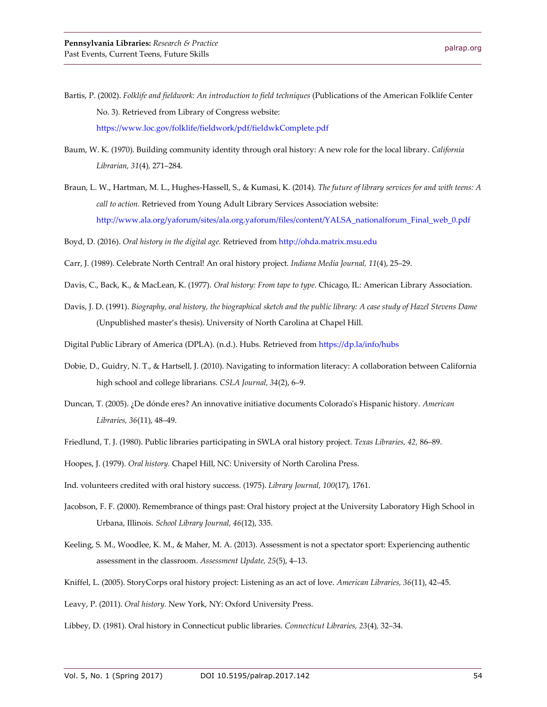- Bartis, P. (2002). *Folklife and fieldwork: An introduction to field techniques* (Publications of the American Folklife Center No. 3)*.* Retrieved from Library of Congress website: <https://www.loc.gov/folklife/fieldwork/pdf/fieldwkComplete.pdf>
- Baum, W. K. (1970). Building community identity through oral history: A new role for the local library. *California Librarian, 31*(4)*,* 271–284.
- Braun, L. W., Hartman, M. L., Hughes-Hassell, S., & Kumasi, K. (2014). *The future of library services for and with teens: A call to action.* Retrieved from Young Adult Library Services Association website: [http://www.ala.org/yaforum/sites/ala.org.yaforum/files/content/YALSA\\_nationalforum\\_Final\\_web\\_0.pdf](http://www.ala.org/yaforum/sites/ala.org.yaforum/files/content/YALSA_nationalforum_Final_web_0.pdf)

Boyd, D. (2016). *Oral history in the digital age.* Retrieved fro[m http://ohda.matrix.msu.edu](http://ohda.matrix.msu.edu/)

- Carr, J. (1989). Celebrate North Central! An oral history project. *Indiana Media Journal, 11*(4), 25–29.
- Davis, C., Back, K., & MacLean, K. (1977). *Oral history: From tape to type.* Chicago, IL: American Library Association.
- Davis, J. D. (1991). *Biography, oral history, the biographical sketch and the public library: A case study of Hazel Stevens Dame* (Unpublished master's thesis). University of North Carolina at Chapel Hill.
- Digital Public Library of America (DPLA). (n.d.). Hubs*.* Retrieved from<https://dp.la/info/hubs>
- Dobie, D., Guidry, N. T., & Hartsell, J. (2010). Navigating to information literacy: A collaboration between California high school and college librarians. *CSLA Journal, 34*(2), 6–9.
- Duncan, T. (2005). ¿De dónde eres? An innovative initiative documents Colorado's Hispanic history. *American Libraries, 36*(11), 48–49.
- Friedlund, T. J. (1980). Public libraries participating in SWLA oral history project. *Texas Libraries, 42,* 86–89.
- Hoopes, J. (1979). *Oral history.* Chapel Hill, NC: University of North Carolina Press.

Ind. volunteers credited with oral history success. (1975). *Library Journal, 100*(17)*,* 1761.

- Jacobson, F. F. (2000). Remembrance of things past: Oral history project at the University Laboratory High School in Urbana, Illinois. *School Library Journal, 46*(12), 335.
- Keeling, S. M., Woodlee, K. M., & Maher, M. A. (2013). Assessment is not a spectator sport: Experiencing authentic assessment in the classroom. *Assessment Update, 25*(5), 4–13.
- Kniffel, L. (2005). StoryCorps oral history project: Listening as an act of love. *American Libraries, 36*(11), 42–45.

Leavy, P. (2011). *Oral history.* New York, NY: Oxford University Press.

Libbey, D. (1981). Oral history in Connecticut public libraries. *Connecticut Libraries, 23*(4)*,* 32–34.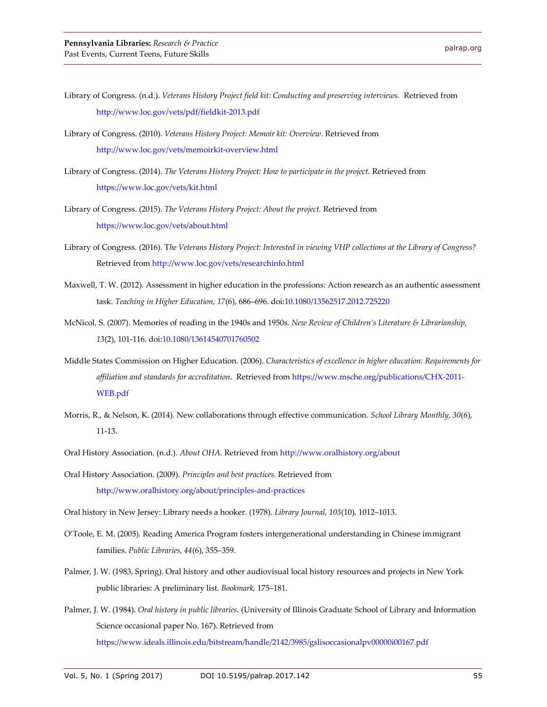- Library of Congress. (n.d.). *Veterans History Project field kit: Conducting and preserving interviews.* Retrieved from <http://www.loc.gov/vets/pdf/fieldkit-2013.pdf>
- Library of Congress. (2010). *Veterans History Project: Memoir kit: Overview*. Retrieved from <http://www.loc.gov/vets/memoirkit-overview.html>
- Library of Congress. (2014). *The Veterans History Project: How to participate in the project.* Retrieved from <https://www.loc.gov/vets/kit.html>
- Library of Congress. (2015). *The Veterans History Project: About the project.* Retrieved from <https://www.loc.gov/vets/about.html>
- Library of Congress. (2016). T*he Veterans History Project: Interested in viewing VHP collections at the Library of Congress?* Retrieved fro[m http://www.loc.gov/vets/researchinfo.html](http://www.loc.gov/vets/researchinfo.html)
- Maxwell, T. W. (2012). Assessment in higher education in the professions: Action research as an authentic assessment task. *Teaching in Higher Education, 17*(6), 686–696. do[i:10.1080/13562517.2012.725220](http://dx.doi.org/10.1080/13562517.2012.725220)
- McNicol, S. (2007). Memories of reading in the 1940s and 1950s. *New Review of Children's Literature & Librarianship, 13*(2), 101-116. doi[:10.1080/13614540701760502](http://dx.doi.org/10.1080/13614540701760502)
- Middle States Commission on Higher Education. (2006). *Characteristics of excellence in higher education: Requirements for affiliation and standards for accreditation*. Retrieved from [https://www.msche.org/publications/CHX-2011-](https://www.msche.org/publications/CHX-2011-WEB.pdf) [WEB.pdf](https://www.msche.org/publications/CHX-2011-WEB.pdf)
- Morris, R., & Nelson, K. (2014). New collaborations through effective communication*. School Library Monthly, 30*(6), 11-13.
- Oral History Association. (n.d.). *About OHA.* Retrieved fro[m http://www.oralhistory.org/about](http://www.oralhistory.org/about)
- Oral History Association. (2009). *Principles and best practices.* Retrieved from <http://www.oralhistory.org/about/principles-and-practices>

Oral history in New Jersey: Library needs a hooker. (1978). *Library Journal, 103*(10)*,* 1012–1013.

- O'Toole, E. M. (2005). Reading America Program fosters intergenerational understanding in Chinese immigrant families. *Public Libraries, 44*(6), 355–359.
- Palmer, J. W. (1983, Spring). Oral history and other audiovisual local history resources and projects in New York public libraries: A preliminary list. *Bookmark,* 175–181.
- Palmer, J. W. (1984). *Oral history in public libraries.* (University of Illinois Graduate School of Library and Information Science occasional paper No. 167). Retrieved from <https://www.ideals.illinois.edu/bitstream/handle/2142/3985/gslisoccasionalpv00000i00167.pdf>